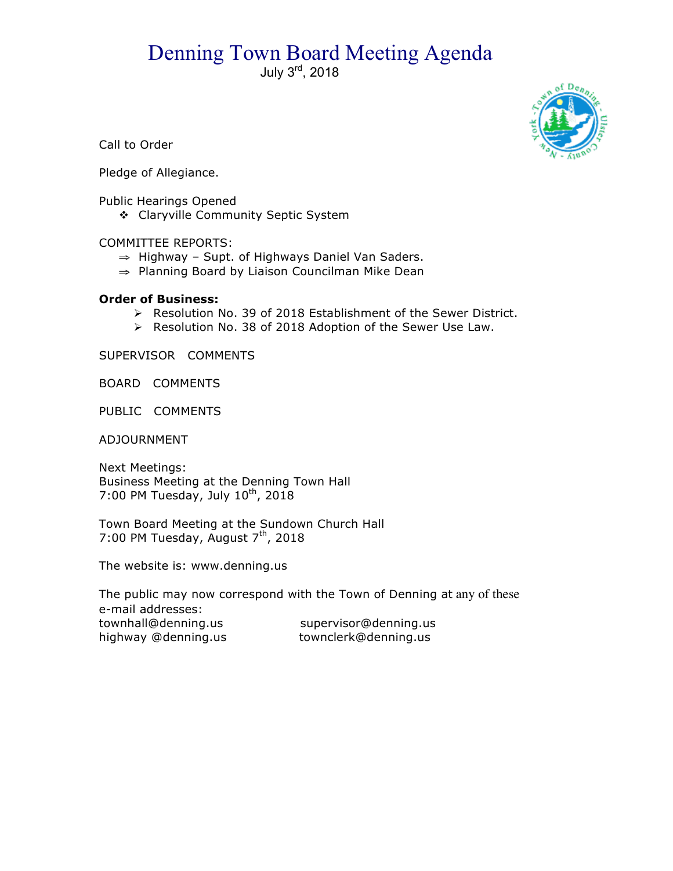# Denning Town Board Meeting Agenda

July 3rd, 2018



Call to Order

Pledge of Allegiance.

Public Hearings Opened

\* Claryville Community Septic System

COMMITTEE REPORTS:

- ⇒ Highway Supt. of Highways Daniel Van Saders.
- ⇒ Planning Board by Liaison Councilman Mike Dean

#### **Order of Business:**

- > Resolution No. 39 of 2018 Establishment of the Sewer District.
- > Resolution No. 38 of 2018 Adoption of the Sewer Use Law.

SUPERVISOR COMMENTS

BOARD COMMENTS

PUBLIC COMMENTS

ADJOURNMENT

Next Meetings: Business Meeting at the Denning Town Hall 7:00 PM Tuesday, July  $10^{th}$ , 2018

Town Board Meeting at the Sundown Church Hall 7:00 PM Tuesday, August  $7<sup>th</sup>$ , 2018

The website is: www.denning.us

The public may now correspond with the Town of Denning at any of these e-mail addresses: townhall@denning.us supervisor@denning.us highway @denning.us townclerk@denning.us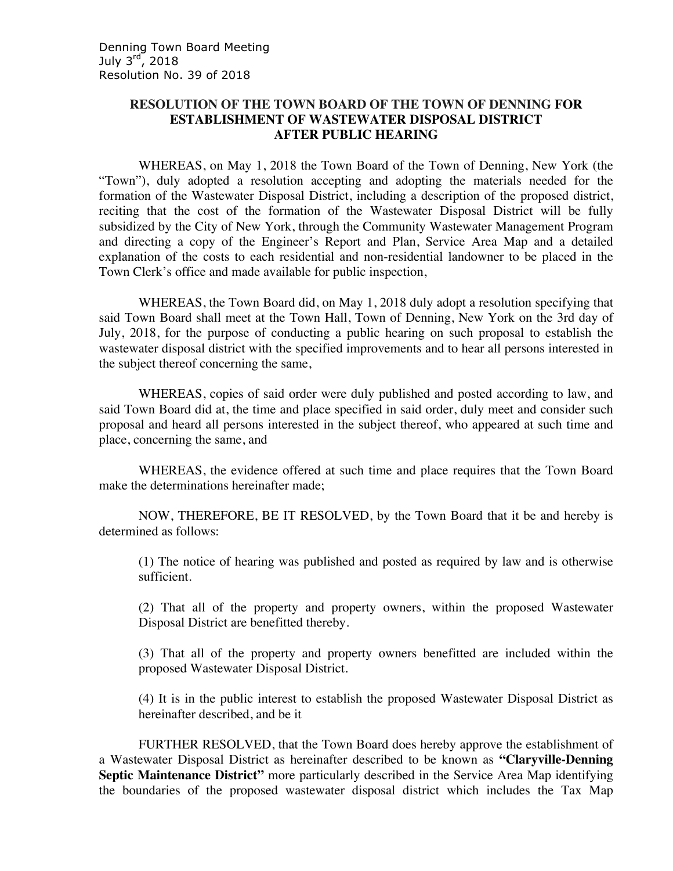### **RESOLUTION OF THE TOWN BOARD OF THE TOWN OF DENNING FOR ESTABLISHMENT OF WASTEWATER DISPOSAL DISTRICT AFTER PUBLIC HEARING**

WHEREAS, on May 1, 2018 the Town Board of the Town of Denning, New York (the "Town"), duly adopted a resolution accepting and adopting the materials needed for the formation of the Wastewater Disposal District, including a description of the proposed district, reciting that the cost of the formation of the Wastewater Disposal District will be fully subsidized by the City of New York, through the Community Wastewater Management Program and directing a copy of the Engineer's Report and Plan, Service Area Map and a detailed explanation of the costs to each residential and non-residential landowner to be placed in the Town Clerk's office and made available for public inspection,

WHEREAS, the Town Board did, on May 1, 2018 duly adopt a resolution specifying that said Town Board shall meet at the Town Hall, Town of Denning, New York on the 3rd day of July, 2018, for the purpose of conducting a public hearing on such proposal to establish the wastewater disposal district with the specified improvements and to hear all persons interested in the subject thereof concerning the same,

WHEREAS, copies of said order were duly published and posted according to law, and said Town Board did at, the time and place specified in said order, duly meet and consider such proposal and heard all persons interested in the subject thereof, who appeared at such time and place, concerning the same, and

WHEREAS, the evidence offered at such time and place requires that the Town Board make the determinations hereinafter made;

NOW, THEREFORE, BE IT RESOLVED, by the Town Board that it be and hereby is determined as follows:

(1) The notice of hearing was published and posted as required by law and is otherwise sufficient.

(2) That all of the property and property owners, within the proposed Wastewater Disposal District are benefitted thereby.

(3) That all of the property and property owners benefitted are included within the proposed Wastewater Disposal District.

(4) It is in the public interest to establish the proposed Wastewater Disposal District as hereinafter described, and be it

FURTHER RESOLVED, that the Town Board does hereby approve the establishment of a Wastewater Disposal District as hereinafter described to be known as **"Claryville-Denning Septic Maintenance District"** more particularly described in the Service Area Map identifying the boundaries of the proposed wastewater disposal district which includes the Tax Map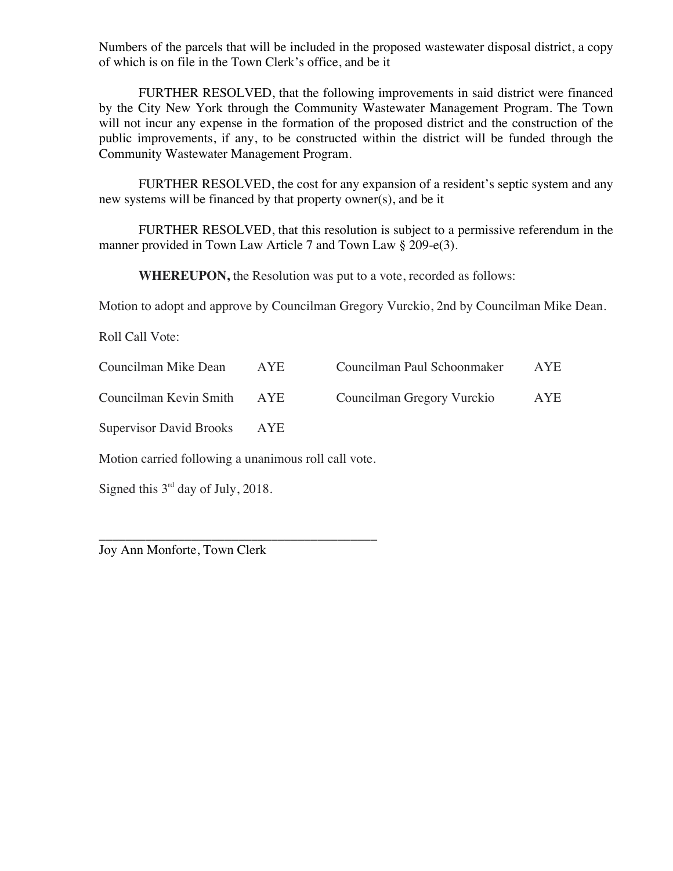Numbers of the parcels that will be included in the proposed wastewater disposal district, a copy of which is on file in the Town Clerk's office, and be it

FURTHER RESOLVED, that the following improvements in said district were financed by the City New York through the Community Wastewater Management Program. The Town will not incur any expense in the formation of the proposed district and the construction of the public improvements, if any, to be constructed within the district will be funded through the Community Wastewater Management Program.

FURTHER RESOLVED, the cost for any expansion of a resident's septic system and any new systems will be financed by that property owner(s), and be it

FURTHER RESOLVED, that this resolution is subject to a permissive referendum in the manner provided in Town Law Article 7 and Town Law § 209-e(3).

**WHEREUPON,** the Resolution was put to a vote, recorded as follows:

Motion to adopt and approve by Councilman Gregory Vurckio, 2nd by Councilman Mike Dean.

Roll Call Vote:

| Councilman Mike Dean        | AYE | Councilman Paul Schoonmaker | <b>AYE</b> |
|-----------------------------|-----|-----------------------------|------------|
| Councilman Kevin Smith AYE  |     | Councilman Gregory Vurckio  | AYE        |
| Supervisor David Brooks AYE |     |                             |            |

Motion carried following a unanimous roll call vote.

\_\_\_\_\_\_\_\_\_\_\_\_\_\_\_\_\_\_\_\_\_\_\_\_\_\_\_\_\_\_\_\_\_\_\_\_\_\_\_\_\_\_

Signed this  $3<sup>rd</sup>$  day of July, 2018.

Joy Ann Monforte, Town Clerk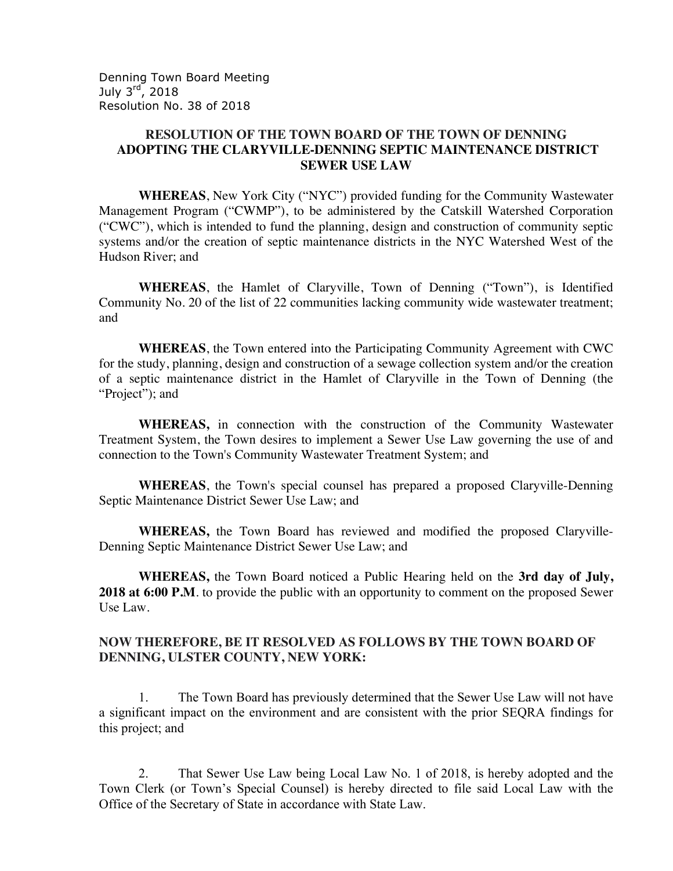Denning Town Board Meeting July  $3<sup>rd</sup>$ , 2018 Resolution No. 38 of 2018

## **RESOLUTION OF THE TOWN BOARD OF THE TOWN OF DENNING ADOPTING THE CLARYVILLE-DENNING SEPTIC MAINTENANCE DISTRICT SEWER USE LAW**

**WHEREAS**, New York City ("NYC") provided funding for the Community Wastewater Management Program ("CWMP"), to be administered by the Catskill Watershed Corporation ("CWC"), which is intended to fund the planning, design and construction of community septic systems and/or the creation of septic maintenance districts in the NYC Watershed West of the Hudson River; and

**WHEREAS**, the Hamlet of Claryville, Town of Denning ("Town"), is Identified Community No. 20 of the list of 22 communities lacking community wide wastewater treatment; and

**WHEREAS**, the Town entered into the Participating Community Agreement with CWC for the study, planning, design and construction of a sewage collection system and/or the creation of a septic maintenance district in the Hamlet of Claryville in the Town of Denning (the "Project"); and

**WHEREAS,** in connection with the construction of the Community Wastewater Treatment System, the Town desires to implement a Sewer Use Law governing the use of and connection to the Town's Community Wastewater Treatment System; and

**WHEREAS**, the Town's special counsel has prepared a proposed Claryville-Denning Septic Maintenance District Sewer Use Law; and

**WHEREAS,** the Town Board has reviewed and modified the proposed Claryville-Denning Septic Maintenance District Sewer Use Law; and

**WHEREAS,** the Town Board noticed a Public Hearing held on the **3rd day of July,**  2018 at 6:00 P.M. to provide the public with an opportunity to comment on the proposed Sewer Use Law.

#### **NOW THEREFORE, BE IT RESOLVED AS FOLLOWS BY THE TOWN BOARD OF DENNING, ULSTER COUNTY, NEW YORK:**

1. The Town Board has previously determined that the Sewer Use Law will not have a significant impact on the environment and are consistent with the prior SEQRA findings for this project; and

2. That Sewer Use Law being Local Law No. 1 of 2018, is hereby adopted and the Town Clerk (or Town's Special Counsel) is hereby directed to file said Local Law with the Office of the Secretary of State in accordance with State Law.